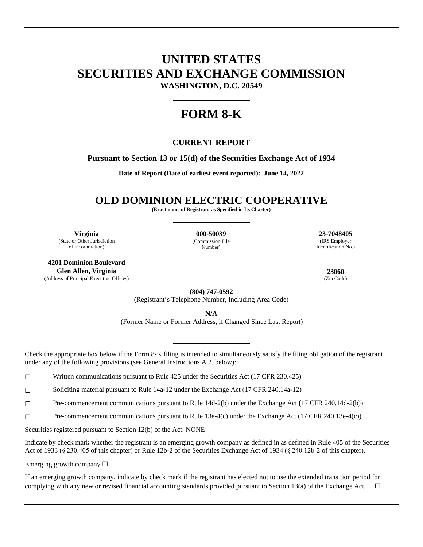## **UNITED STATES SECURITIES AND EXCHANGE COMMISSION WASHINGTON, D.C. 20549**

# **FORM 8-K**

### **CURRENT REPORT**

### **Pursuant to Section 13 or 15(d) of the Securities Exchange Act of 1934**

**Date of Report (Date of earliest event reported): June 14, 2022** 

## **OLD DOMINION ELECTRIC COOPERATIVE**

**(Exact name of Registrant as Specified in Its Charter)** 

**Virginia 000-50039 23-7048405** (State or Other Jurisdiction of Incorporation)

**4201 Dominion Boulevard Glen Allen, Virginia 23060** (Address of Principal Executive Offices) (Zip Code)

(Commission File Number)

(IRS Employer Identification No.)

**(804) 747-0592**

(Registrant's Telephone Number, Including Area Code)

**N/A** 

(Former Name or Former Address, if Changed Since Last Report)

Check the appropriate box below if the Form 8-K filing is intended to simultaneously satisfy the filing obligation of the registrant under any of the following provisions (see General Instructions A.2. below):

☐ Written communications pursuant to Rule 425 under the Securities Act (17 CFR 230.425)

☐ Soliciting material pursuant to Rule 14a-12 under the Exchange Act (17 CFR 240.14a-12)

☐ Pre-commencement communications pursuant to Rule 14d-2(b) under the Exchange Act (17 CFR 240.14d-2(b))

☐ Pre-commencement communications pursuant to Rule 13e-4(c) under the Exchange Act (17 CFR 240.13e-4(c))

Securities registered pursuant to Section 12(b) of the Act: NONE

Indicate by check mark whether the registrant is an emerging growth company as defined in as defined in Rule 405 of the Securities Act of 1933 (§ 230.405 of this chapter) or Rule 12b-2 of the Securities Exchange Act of 1934 (§ 240.12b-2 of this chapter).

Emerging growth company  $\Box$ 

If an emerging growth company, indicate by check mark if the registrant has elected not to use the extended transition period for complying with any new or revised financial accounting standards provided pursuant to Section 13(a) of the Exchange Act.  $\Box$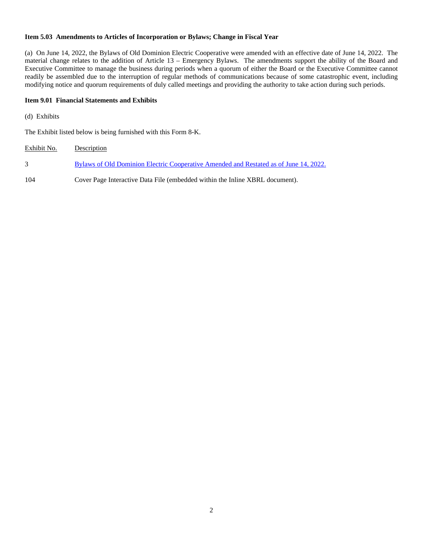### **Item 5.03 Amendments to Articles of Incorporation or Bylaws; Change in Fiscal Year**

(a) On June 14, 2022, the Bylaws of Old Dominion Electric Cooperative were amended with an effective date of June 14, 2022. The material change relates to the addition of Article 13 – Emergency Bylaws. The amendments support the ability of the Board and Executive Committee to manage the business during periods when a quorum of either the Board or the Executive Committee cannot readily be assembled due to the interruption of regular methods of communications because of some catastrophic event, including modifying notice and quorum requirements of duly called meetings and providing the authority to take action during such periods.

#### **Item 9.01 Financial Statements and Exhibits**

(d) Exhibits

The Exhibit listed below is being furnished with this Form 8-K.

| Exhibit No. | Description                                                                           |
|-------------|---------------------------------------------------------------------------------------|
|             | Bylaws of Old Dominion Electric Cooperative Amended and Restated as of June 14, 2022. |
| 104         | Cover Page Interactive Data File (embedded within the Inline XBRL document).          |